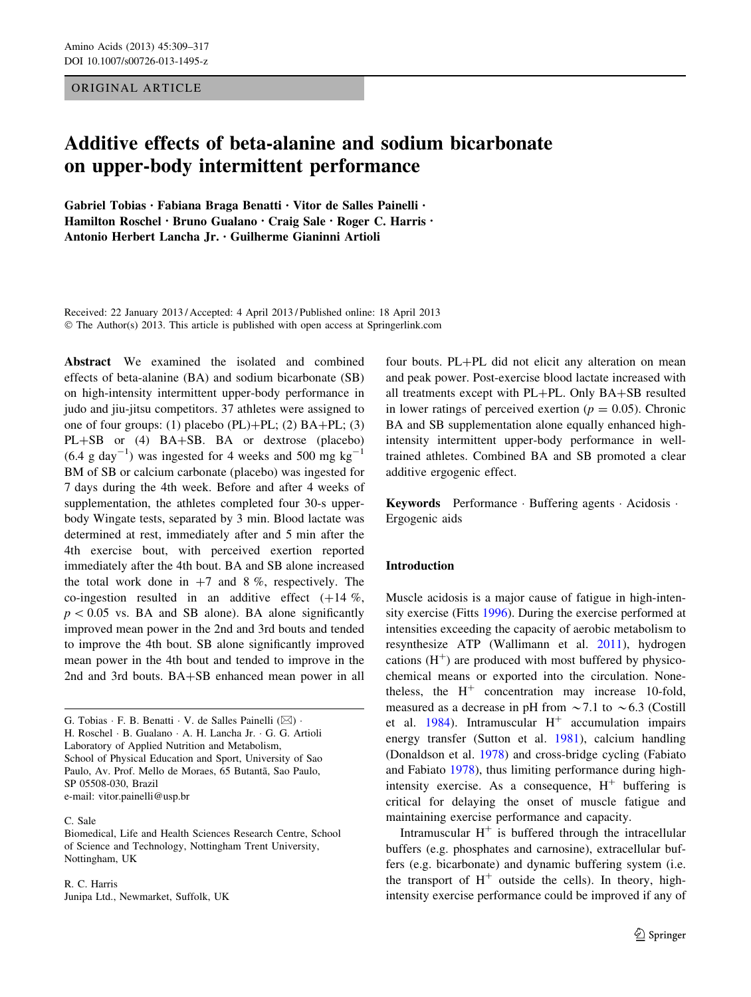ORIGINAL ARTICLE

# Additive effects of beta-alanine and sodium bicarbonate on upper-body intermittent performance

Gabriel Tobias • Fabiana Braga Benatti • Vitor de Salles Painelli • Hamilton Roschel • Bruno Gualano • Craig Sale • Roger C. Harris • Antonio Herbert Lancha Jr. • Guilherme Gianinni Artioli

Received: 22 January 2013 / Accepted: 4 April 2013 / Published online: 18 April 2013 © The Author(s) 2013. This article is published with open access at Springerlink.com

Abstract We examined the isolated and combined effects of beta-alanine (BA) and sodium bicarbonate (SB) on high-intensity intermittent upper-body performance in judo and jiu-jitsu competitors. 37 athletes were assigned to one of four groups: (1) placebo (PL)+PL; (2)  $BA+PL$ ; (3)  $PL+SB$  or (4)  $BA+SB$ . BA or dextrose (placebo)  $(6.4 \text{ g day}^{-1})$  was ingested for 4 weeks and 500 mg kg<sup>-1</sup> BM of SB or calcium carbonate (placebo) was ingested for 7 days during the 4th week. Before and after 4 weeks of supplementation, the athletes completed four 30-s upperbody Wingate tests, separated by 3 min. Blood lactate was determined at rest, immediately after and 5 min after the 4th exercise bout, with perceived exertion reported immediately after the 4th bout. BA and SB alone increased the total work done in  $+7$  and 8 %, respectively. The co-ingestion resulted in an additive effect  $(+14\%),$  $p < 0.05$  vs. BA and SB alone). BA alone significantly improved mean power in the 2nd and 3rd bouts and tended to improve the 4th bout. SB alone significantly improved mean power in the 4th bout and tended to improve in the 2nd and 3rd bouts. BA+SB enhanced mean power in all

G. Tobias  $\cdot$  F. B. Benatti  $\cdot$  V. de Salles Painelli ( $\boxtimes$ )  $\cdot$ H. Roschel - B. Gualano - A. H. Lancha Jr. - G. G. Artioli Laboratory of Applied Nutrition and Metabolism, School of Physical Education and Sport, University of Sao Paulo, Av. Prof. Mello de Moraes, 65 Butantã, Sao Paulo, SP 05508-030, Brazil e-mail: vitor.painelli@usp.br

## C. Sale

Biomedical, Life and Health Sciences Research Centre, School of Science and Technology, Nottingham Trent University, Nottingham, UK

R. C. Harris Junipa Ltd., Newmarket, Suffolk, UK four bouts.  $PL+PL$  did not elicit any alteration on mean and peak power. Post-exercise blood lactate increased with all treatments except with  $PL+PL$ . Only  $BA+SB$  resulted in lower ratings of perceived exertion ( $p = 0.05$ ). Chronic BA and SB supplementation alone equally enhanced highintensity intermittent upper-body performance in welltrained athletes. Combined BA and SB promoted a clear additive ergogenic effect.

Keywords Performance · Buffering agents · Acidosis · Ergogenic aids

## Introduction

Muscle acidosis is a major cause of fatigue in high-intensity exercise (Fitts [1996\)](#page-8-0). During the exercise performed at intensities exceeding the capacity of aerobic metabolism to resynthesize ATP (Wallimann et al. [2011\)](#page-8-0), hydrogen cations  $(H<sup>+</sup>)$  are produced with most buffered by physicochemical means or exported into the circulation. Nonetheless, the  $H^+$  concentration may increase 10-fold, measured as a decrease in pH from  $\sim$  7.1 to  $\sim$  6.3 (Costill et al. [1984](#page-8-0)). Intramuscular  $H^+$  accumulation impairs energy transfer (Sutton et al. [1981\)](#page-8-0), calcium handling (Donaldson et al. [1978](#page-8-0)) and cross-bridge cycling (Fabiato and Fabiato [1978\)](#page-8-0), thus limiting performance during highintensity exercise. As a consequence,  $H^+$  buffering is critical for delaying the onset of muscle fatigue and maintaining exercise performance and capacity.

Intramuscular  $H^+$  is buffered through the intracellular buffers (e.g. phosphates and carnosine), extracellular buffers (e.g. bicarbonate) and dynamic buffering system (i.e. the transport of  $H^+$  outside the cells). In theory, highintensity exercise performance could be improved if any of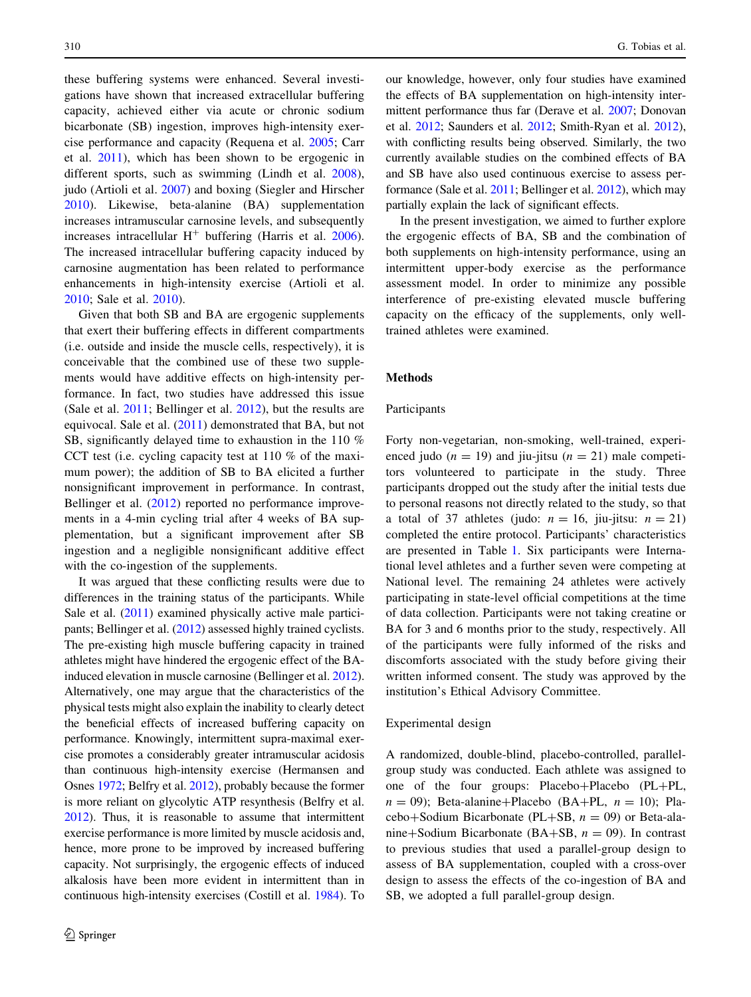these buffering systems were enhanced. Several investigations have shown that increased extracellular buffering capacity, achieved either via acute or chronic sodium bicarbonate (SB) ingestion, improves high-intensity exercise performance and capacity (Requena et al. [2005](#page-8-0); Carr et al. [2011\)](#page-8-0), which has been shown to be ergogenic in different sports, such as swimming (Lindh et al. [2008](#page-8-0)), judo (Artioli et al. [2007\)](#page-7-0) and boxing (Siegler and Hirscher [2010\)](#page-8-0). Likewise, beta-alanine (BA) supplementation increases intramuscular carnosine levels, and subsequently increases intracellular  $H^+$  buffering (Harris et al. [2006](#page-8-0)). The increased intracellular buffering capacity induced by carnosine augmentation has been related to performance enhancements in high-intensity exercise (Artioli et al. [2010;](#page-8-0) Sale et al. [2010](#page-8-0)).

Given that both SB and BA are ergogenic supplements that exert their buffering effects in different compartments (i.e. outside and inside the muscle cells, respectively), it is conceivable that the combined use of these two supplements would have additive effects on high-intensity performance. In fact, two studies have addressed this issue (Sale et al. [2011;](#page-8-0) Bellinger et al. [2012](#page-8-0)), but the results are equivocal. Sale et al. [\(2011](#page-8-0)) demonstrated that BA, but not SB, significantly delayed time to exhaustion in the 110 % CCT test (i.e. cycling capacity test at 110 % of the maximum power); the addition of SB to BA elicited a further nonsignificant improvement in performance. In contrast, Bellinger et al. [\(2012](#page-8-0)) reported no performance improvements in a 4-min cycling trial after 4 weeks of BA supplementation, but a significant improvement after SB ingestion and a negligible nonsignificant additive effect with the co-ingestion of the supplements.

It was argued that these conflicting results were due to differences in the training status of the participants. While Sale et al. ([2011](#page-8-0)) examined physically active male participants; Bellinger et al. [\(2012\)](#page-8-0) assessed highly trained cyclists. The pre-existing high muscle buffering capacity in trained athletes might have hindered the ergogenic effect of the BAinduced elevation in muscle carnosine (Bellinger et al. [2012](#page-8-0)). Alternatively, one may argue that the characteristics of the physical tests might also explain the inability to clearly detect the beneficial effects of increased buffering capacity on performance. Knowingly, intermittent supra-maximal exercise promotes a considerably greater intramuscular acidosis than continuous high-intensity exercise (Hermansen and Osnes [1972;](#page-8-0) Belfry et al. [2012\)](#page-8-0), probably because the former is more reliant on glycolytic ATP resynthesis (Belfry et al. [2012\)](#page-8-0). Thus, it is reasonable to assume that intermittent exercise performance is more limited by muscle acidosis and, hence, more prone to be improved by increased buffering capacity. Not surprisingly, the ergogenic effects of induced alkalosis have been more evident in intermittent than in continuous high-intensity exercises (Costill et al. [1984](#page-8-0)). To our knowledge, however, only four studies have examined the effects of BA supplementation on high-intensity intermittent performance thus far (Derave et al. [2007](#page-8-0); Donovan et al. [2012](#page-8-0); Saunders et al. [2012](#page-8-0); Smith-Ryan et al. [2012\)](#page-8-0), with conflicting results being observed. Similarly, the two currently available studies on the combined effects of BA and SB have also used continuous exercise to assess performance (Sale et al. [2011;](#page-8-0) Bellinger et al. [2012](#page-8-0)), which may partially explain the lack of significant effects.

In the present investigation, we aimed to further explore the ergogenic effects of BA, SB and the combination of both supplements on high-intensity performance, using an intermittent upper-body exercise as the performance assessment model. In order to minimize any possible interference of pre-existing elevated muscle buffering capacity on the efficacy of the supplements, only welltrained athletes were examined.

#### Methods

#### Participants

Forty non-vegetarian, non-smoking, well-trained, experienced judo ( $n = 19$ ) and jiu-jitsu ( $n = 21$ ) male competitors volunteered to participate in the study. Three participants dropped out the study after the initial tests due to personal reasons not directly related to the study, so that a total of 37 athletes (judo:  $n = 16$ , jiu-jitsu:  $n = 21$ ) completed the entire protocol. Participants' characteristics are presented in Table [1.](#page-2-0) Six participants were International level athletes and a further seven were competing at National level. The remaining 24 athletes were actively participating in state-level official competitions at the time of data collection. Participants were not taking creatine or BA for 3 and 6 months prior to the study, respectively. All of the participants were fully informed of the risks and discomforts associated with the study before giving their written informed consent. The study was approved by the institution's Ethical Advisory Committee.

## Experimental design

A randomized, double-blind, placebo-controlled, parallelgroup study was conducted. Each athlete was assigned to one of the four groups: Placebo+Placebo  $(PL+PL,$  $n = 09$ ); Beta-alanine+Placebo (BA+PL,  $n = 10$ ); Placebo+Sodium Bicarbonate (PL+SB,  $n = 09$ ) or Beta-alanine+Sodium Bicarbonate (BA+SB,  $n = 09$ ). In contrast to previous studies that used a parallel-group design to assess of BA supplementation, coupled with a cross-over design to assess the effects of the co-ingestion of BA and SB, we adopted a full parallel-group design.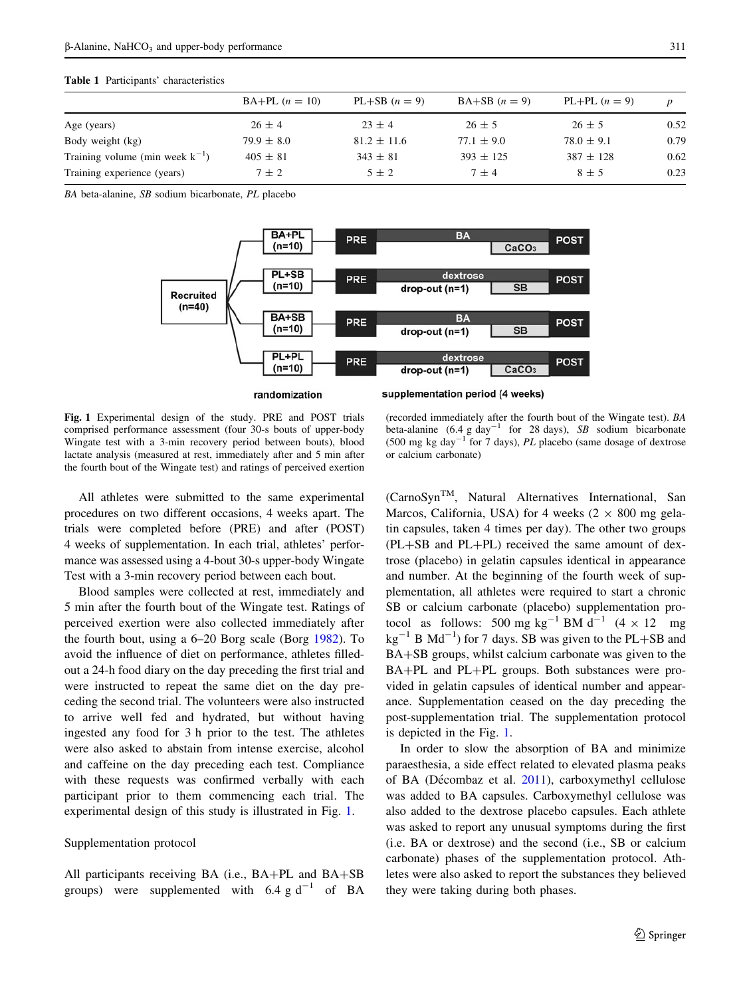#### <span id="page-2-0"></span>Table 1 Participants' characteristics

|                                      | $BA+PL (n = 10)$ | $PL+SB$ $(n = 9)$ | $BA+SB$ $(n=9)$ | PL+PL $(n = 9)$ |      |
|--------------------------------------|------------------|-------------------|-----------------|-----------------|------|
| Age (years)                          | $26 \pm 4$       | $23 \pm 4$        | $26 \pm 5$      | $26 \pm 5$      | 0.52 |
| Body weight (kg)                     | $79.9 \pm 8.0$   | $81.2 \pm 11.6$   | $77.1 \pm 9.0$  | $78.0 \pm 9.1$  | 0.79 |
| Training volume (min week $k^{-1}$ ) | $405 \pm 81$     | $343 \pm 81$      | $393 \pm 125$   | $387 \pm 128$   | 0.62 |
| Training experience (years)          | $7 + 2$          | $5 \pm 2$         | $7 + 4$         | $8 \pm 5$       | 0.23 |

BA beta-alanine, SB sodium bicarbonate, PL placebo



randomization

supplementation period (4 weeks)

Fig. 1 Experimental design of the study. PRE and POST trials comprised performance assessment (four 30-s bouts of upper-body Wingate test with a 3-min recovery period between bouts), blood lactate analysis (measured at rest, immediately after and 5 min after the fourth bout of the Wingate test) and ratings of perceived exertion

All athletes were submitted to the same experimental procedures on two different occasions, 4 weeks apart. The trials were completed before (PRE) and after (POST) 4 weeks of supplementation. In each trial, athletes' performance was assessed using a 4-bout 30-s upper-body Wingate Test with a 3-min recovery period between each bout.

Blood samples were collected at rest, immediately and 5 min after the fourth bout of the Wingate test. Ratings of perceived exertion were also collected immediately after the fourth bout, using a 6–20 Borg scale (Borg [1982\)](#page-8-0). To avoid the influence of diet on performance, athletes filledout a 24-h food diary on the day preceding the first trial and were instructed to repeat the same diet on the day preceding the second trial. The volunteers were also instructed to arrive well fed and hydrated, but without having ingested any food for 3 h prior to the test. The athletes were also asked to abstain from intense exercise, alcohol and caffeine on the day preceding each test. Compliance with these requests was confirmed verbally with each participant prior to them commencing each trial. The experimental design of this study is illustrated in Fig. 1.

#### Supplementation protocol

All participants receiving BA (i.e.,  $BA+PL$  and  $BA+SB$ groups) were supplemented with  $6.4$  g d<sup>-1</sup> of BA

(recorded immediately after the fourth bout of the Wingate test). BA beta-alanine  $(6.4 \text{ g day}^{-1}$  for 28 days), SB sodium bicarbonate (500 mg kg day<sup>-1</sup> for 7 days),  $PL$  placebo (same dosage of dextrose or calcium carbonate)

(CarnoSynTM, Natural Alternatives International, San Marcos, California, USA) for 4 weeks ( $2 \times 800$  mg gelatin capsules, taken 4 times per day). The other two groups  $(PL+SB)$  and  $PL+PL$ ) received the same amount of dextrose (placebo) in gelatin capsules identical in appearance and number. At the beginning of the fourth week of supplementation, all athletes were required to start a chronic SB or calcium carbonate (placebo) supplementation protocol as follows: 500 mg kg<sup>-1</sup> BM d<sup>-1</sup>  $(4 \times 12$  mg  $kg^{-1}$  B Md<sup>-1</sup>) for 7 days. SB was given to the PL+SB and BA+SB groups, whilst calcium carbonate was given to the BA+PL and PL+PL groups. Both substances were provided in gelatin capsules of identical number and appearance. Supplementation ceased on the day preceding the post-supplementation trial. The supplementation protocol is depicted in the Fig. 1.

In order to slow the absorption of BA and minimize paraesthesia, a side effect related to elevated plasma peaks of BA (Décombaz et al.  $2011$ ), carboxymethyl cellulose was added to BA capsules. Carboxymethyl cellulose was also added to the dextrose placebo capsules. Each athlete was asked to report any unusual symptoms during the first (i.e. BA or dextrose) and the second (i.e., SB or calcium carbonate) phases of the supplementation protocol. Athletes were also asked to report the substances they believed they were taking during both phases.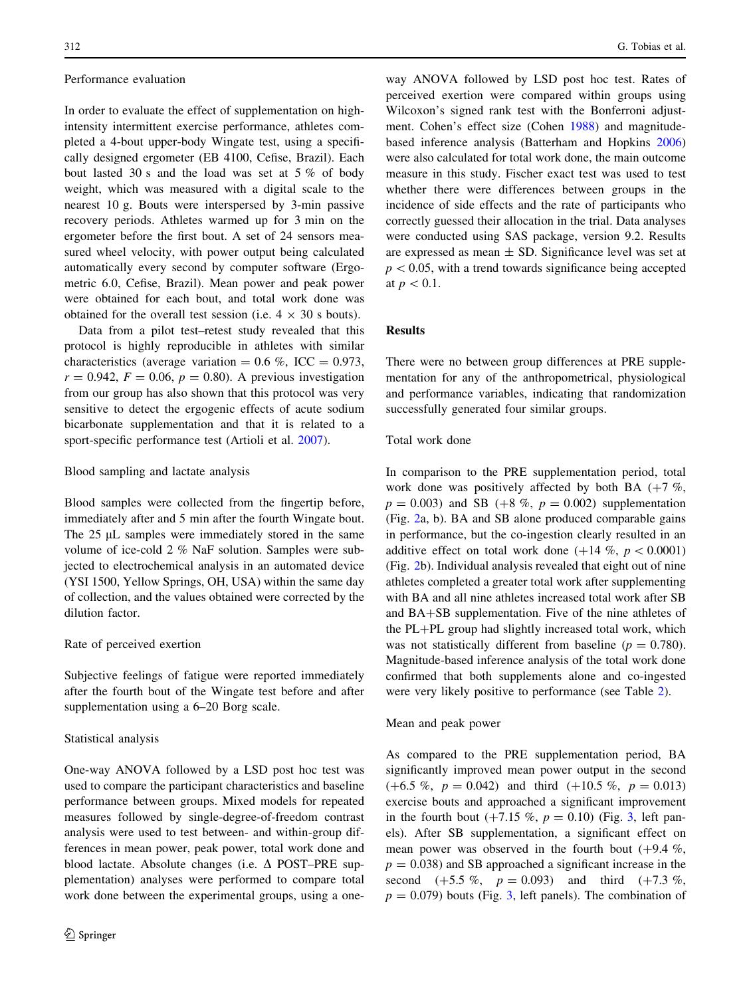#### Performance evaluation

In order to evaluate the effect of supplementation on highintensity intermittent exercise performance, athletes completed a 4-bout upper-body Wingate test, using a specifically designed ergometer (EB 4100, Cefise, Brazil). Each bout lasted 30 s and the load was set at 5 % of body weight, which was measured with a digital scale to the nearest 10 g. Bouts were interspersed by 3-min passive recovery periods. Athletes warmed up for 3 min on the ergometer before the first bout. A set of 24 sensors measured wheel velocity, with power output being calculated automatically every second by computer software (Ergometric 6.0, Cefise, Brazil). Mean power and peak power were obtained for each bout, and total work done was obtained for the overall test session (i.e.  $4 \times 30$  s bouts).

Data from a pilot test–retest study revealed that this protocol is highly reproducible in athletes with similar characteristics (average variation =  $0.6 \%$ , ICC =  $0.973$ ,  $r = 0.942, F = 0.06, p = 0.80$ . A previous investigation from our group has also shown that this protocol was very sensitive to detect the ergogenic effects of acute sodium bicarbonate supplementation and that it is related to a sport-specific performance test (Artioli et al. [2007](#page-7-0)).

## Blood sampling and lactate analysis

Blood samples were collected from the fingertip before, immediately after and 5 min after the fourth Wingate bout. The  $25 \mu L$  samples were immediately stored in the same volume of ice-cold 2 % NaF solution. Samples were subjected to electrochemical analysis in an automated device (YSI 1500, Yellow Springs, OH, USA) within the same day of collection, and the values obtained were corrected by the dilution factor.

## Rate of perceived exertion

Subjective feelings of fatigue were reported immediately after the fourth bout of the Wingate test before and after supplementation using a 6–20 Borg scale.

## Statistical analysis

One-way ANOVA followed by a LSD post hoc test was used to compare the participant characteristics and baseline performance between groups. Mixed models for repeated measures followed by single-degree-of-freedom contrast analysis were used to test between- and within-group differences in mean power, peak power, total work done and blood lactate. Absolute changes (i.e.  $\Delta$  POST–PRE supplementation) analyses were performed to compare total work done between the experimental groups, using a one-

way ANOVA followed by LSD post hoc test. Rates of perceived exertion were compared within groups using Wilcoxon's signed rank test with the Bonferroni adjustment. Cohen's effect size (Cohen [1988\)](#page-8-0) and magnitudebased inference analysis (Batterham and Hopkins [2006\)](#page-8-0) were also calculated for total work done, the main outcome measure in this study. Fischer exact test was used to test whether there were differences between groups in the incidence of side effects and the rate of participants who correctly guessed their allocation in the trial. Data analyses were conducted using SAS package, version 9.2. Results are expressed as mean  $\pm$  SD. Significance level was set at  $p\lt 0.05$ , with a trend towards significance being accepted at  $p<0.1$ .

## Results

There were no between group differences at PRE supplementation for any of the anthropometrical, physiological and performance variables, indicating that randomization successfully generated four similar groups.

## Total work done

In comparison to the PRE supplementation period, total work done was positively affected by both BA  $(+7\%$ ,  $p = 0.003$ ) and SB (+8 %,  $p = 0.002$ ) supplementation (Fig. [2a](#page-4-0), b). BA and SB alone produced comparable gains in performance, but the co-ingestion clearly resulted in an additive effect on total work done  $(+14 \%, p < 0.0001)$ (Fig. [2b](#page-4-0)). Individual analysis revealed that eight out of nine athletes completed a greater total work after supplementing with BA and all nine athletes increased total work after SB and  $BA+SB$  supplementation. Five of the nine athletes of the PL+PL group had slightly increased total work, which was not statistically different from baseline ( $p = 0.780$ ). Magnitude-based inference analysis of the total work done confirmed that both supplements alone and co-ingested were very likely positive to performance (see Table [2\)](#page-4-0).

Mean and peak power

As compared to the PRE supplementation period, BA significantly improved mean power output in the second  $(+6.5 \%, p = 0.042)$  and third  $(+10.5 \%, p = 0.013)$ exercise bouts and approached a significant improvement in the fourth bout  $(+7.15 \%, p = 0.10)$  (Fig. [3,](#page-5-0) left panels). After SB supplementation, a significant effect on mean power was observed in the fourth bout  $(+9.4\%$ ,  $p = 0.038$ ) and SB approached a significant increase in the second  $(+5.5\%, p = 0.093)$  and third  $(+7.3\%,$  $p = 0.079$ ) bouts (Fig. [3,](#page-5-0) left panels). The combination of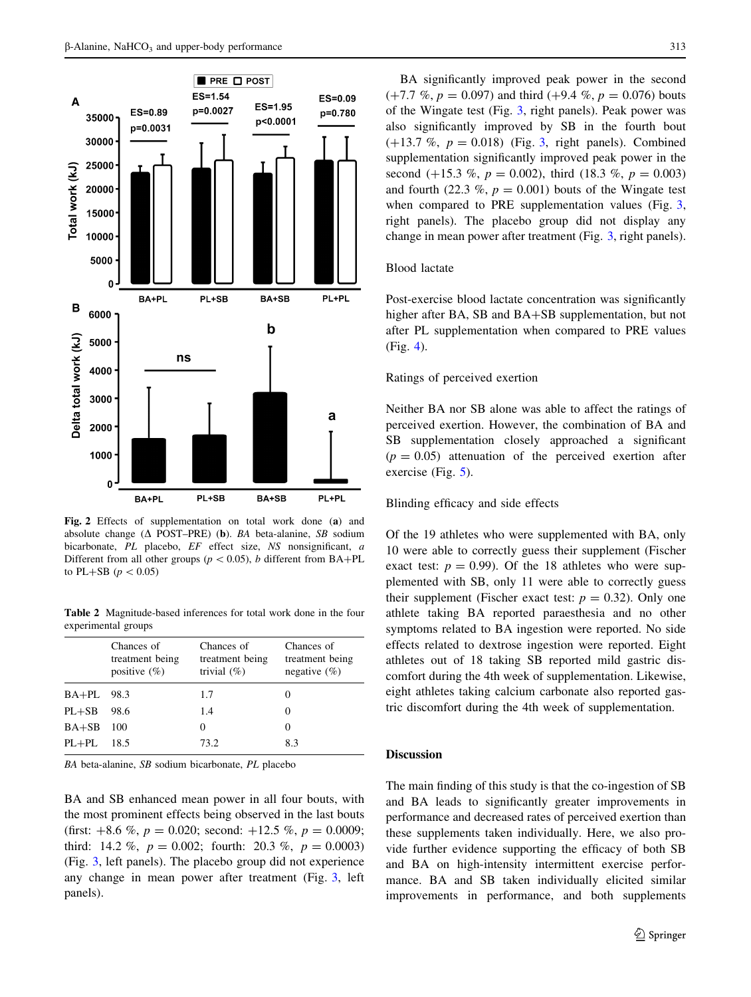<span id="page-4-0"></span>

Fig. 2 Effects of supplementation on total work done (a) and absolute change ( $\Delta$  POST–PRE) (b). BA beta-alanine, SB sodium bicarbonate, PL placebo, EF effect size, NS nonsignificant, a Different from all other groups ( $p < 0.05$ ), b different from BA+PL to PL+SB ( $p < 0.05$ )

Table 2 Magnitude-based inferences for total work done in the four experimental groups

|            | Chances of<br>treatment being | Chances of<br>treatment being | Chances of<br>treatment being |
|------------|-------------------------------|-------------------------------|-------------------------------|
|            | positive $(\%)$               | trivial $(\%)$                | negative $(\% )$              |
| BA+PL 98.3 |                               | 1.7                           |                               |
| $PL+SB$    | 98.6                          | 1.4                           |                               |
| $BA+SB$    | 100                           | 0                             | $\theta$                      |
| $PL+PL$    | 18.5                          | 73.2                          | 8.3                           |
|            |                               |                               |                               |

BA beta-alanine, SB sodium bicarbonate, PL placebo

BA and SB enhanced mean power in all four bouts, with the most prominent effects being observed in the last bouts (first:  $+8.6 \%$ ,  $p = 0.020$ ; second:  $+12.5 \%$ ,  $p = 0.0009$ ; third: 14.2 %,  $p = 0.002$ ; fourth: 20.3 %,  $p = 0.0003$ ) (Fig. [3](#page-5-0), left panels). The placebo group did not experience any change in mean power after treatment (Fig. [3](#page-5-0), left panels).

BA significantly improved peak power in the second  $(+7.7 \, %<sub>9</sub>, p = 0.097)$  and third  $(+9.4 \, %<sub>9</sub>, p = 0.076)$  bouts of the Wingate test (Fig. [3](#page-5-0), right panels). Peak power was also significantly improved by SB in the fourth bout  $(+13.7 \, \%, p = 0.018)$  (Fig. [3,](#page-5-0) right panels). Combined supplementation significantly improved peak power in the second (+15.3 %,  $p = 0.002$ ), third (18.3 %,  $p = 0.003$ ) and fourth (22.3 %,  $p = 0.001$ ) bouts of the Wingate test when compared to PRE supplementation values (Fig. [3,](#page-5-0) right panels). The placebo group did not display any change in mean power after treatment (Fig. [3,](#page-5-0) right panels).

#### Blood lactate

Post-exercise blood lactate concentration was significantly higher after BA, SB and BA+SB supplementation, but not after PL supplementation when compared to PRE values (Fig. [4\)](#page-6-0).

## Ratings of perceived exertion

Neither BA nor SB alone was able to affect the ratings of perceived exertion. However, the combination of BA and SB supplementation closely approached a significant  $(p = 0.05)$  attenuation of the perceived exertion after exercise (Fig. [5\)](#page-6-0).

#### Blinding efficacy and side effects

Of the 19 athletes who were supplemented with BA, only 10 were able to correctly guess their supplement (Fischer exact test:  $p = 0.99$ . Of the 18 athletes who were supplemented with SB, only 11 were able to correctly guess their supplement (Fischer exact test:  $p = 0.32$ ). Only one athlete taking BA reported paraesthesia and no other symptoms related to BA ingestion were reported. No side effects related to dextrose ingestion were reported. Eight athletes out of 18 taking SB reported mild gastric discomfort during the 4th week of supplementation. Likewise, eight athletes taking calcium carbonate also reported gastric discomfort during the 4th week of supplementation.

## Discussion

The main finding of this study is that the co-ingestion of SB and BA leads to significantly greater improvements in performance and decreased rates of perceived exertion than these supplements taken individually. Here, we also provide further evidence supporting the efficacy of both SB and BA on high-intensity intermittent exercise performance. BA and SB taken individually elicited similar improvements in performance, and both supplements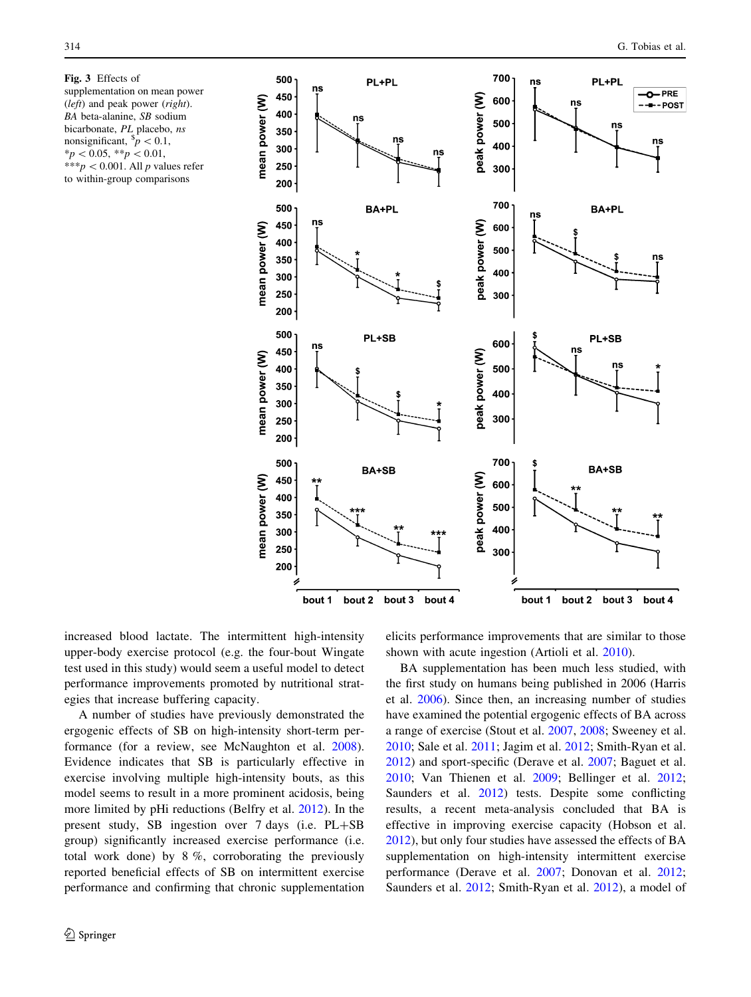<span id="page-5-0"></span>Fig. 3 Effects of supplementation on mean power (left) and peak power (right). BA beta-alanine, SB sodium bicarbonate, PL placebo, ns nonsignificant,  $\frac{s}{p}$  < 0.1,  $*_{p}$  < 0.05, \*\*p < 0.01, \*\*\*p < 0.001. All p values refer to within-group comparisons



increased blood lactate. The intermittent high-intensity upper-body exercise protocol (e.g. the four-bout Wingate test used in this study) would seem a useful model to detect performance improvements promoted by nutritional strategies that increase buffering capacity.

A number of studies have previously demonstrated the ergogenic effects of SB on high-intensity short-term performance (for a review, see McNaughton et al. [2008](#page-8-0)). Evidence indicates that SB is particularly effective in exercise involving multiple high-intensity bouts, as this model seems to result in a more prominent acidosis, being more limited by pHi reductions (Belfry et al. [2012\)](#page-8-0). In the present study, SB ingestion over 7 days (i.e. PL+SB group) significantly increased exercise performance (i.e. total work done) by 8 %, corroborating the previously reported beneficial effects of SB on intermittent exercise performance and confirming that chronic supplementation elicits performance improvements that are similar to those shown with acute ingestion (Artioli et al. [2010](#page-8-0)).

BA supplementation has been much less studied, with the first study on humans being published in 2006 (Harris et al. [2006](#page-8-0)). Since then, an increasing number of studies have examined the potential ergogenic effects of BA across a range of exercise (Stout et al. [2007,](#page-8-0) [2008](#page-8-0); Sweeney et al. [2010](#page-8-0); Sale et al. [2011;](#page-8-0) Jagim et al. [2012](#page-8-0); Smith-Ryan et al. [2012](#page-8-0)) and sport-specific (Derave et al. [2007](#page-8-0); Baguet et al. [2010](#page-8-0); Van Thienen et al. [2009;](#page-8-0) Bellinger et al. [2012](#page-8-0); Saunders et al. [2012\)](#page-8-0) tests. Despite some conflicting results, a recent meta-analysis concluded that BA is effective in improving exercise capacity (Hobson et al. [2012](#page-8-0)), but only four studies have assessed the effects of BA supplementation on high-intensity intermittent exercise performance (Derave et al. [2007;](#page-8-0) Donovan et al. [2012](#page-8-0); Saunders et al. [2012;](#page-8-0) Smith-Ryan et al. [2012\)](#page-8-0), a model of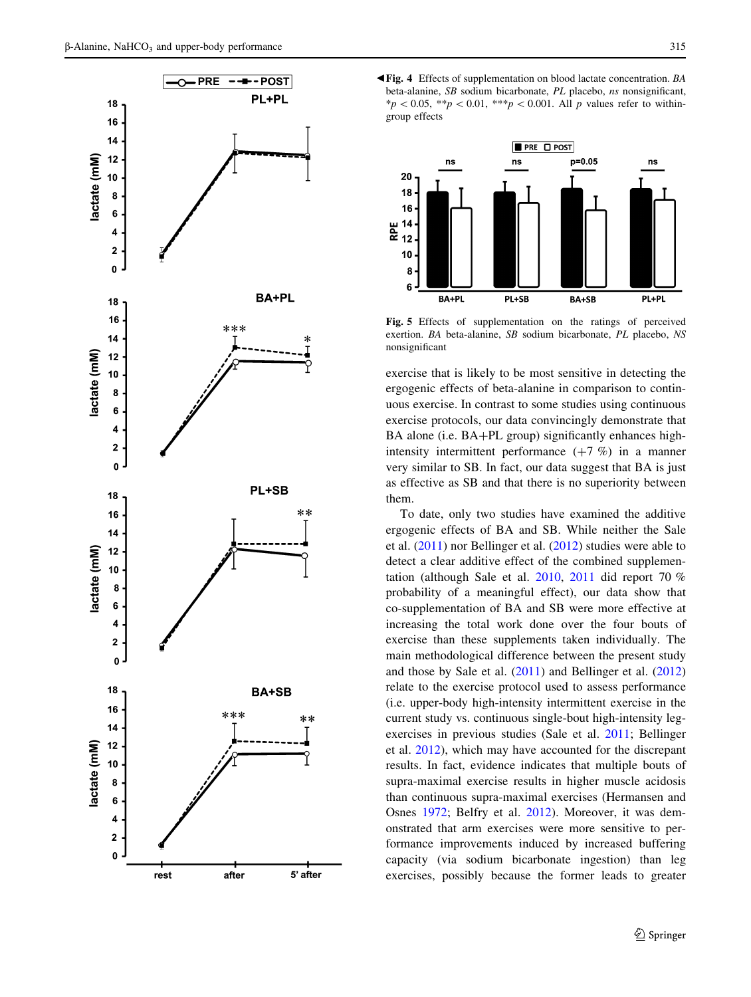<span id="page-6-0"></span>





Fig. 5 Effects of supplementation on the ratings of perceived exertion. BA beta-alanine, SB sodium bicarbonate, PL placebo, NS nonsignificant

exercise that is likely to be most sensitive in detecting the ergogenic effects of beta-alanine in comparison to continuous exercise. In contrast to some studies using continuous exercise protocols, our data convincingly demonstrate that BA alone (i.e.  $BA+PL$  group) significantly enhances highintensity intermittent performance  $(+7, %)$  in a manner very similar to SB. In fact, our data suggest that BA is just as effective as SB and that there is no superiority between them.

To date, only two studies have examined the additive ergogenic effects of BA and SB. While neither the Sale et al. ([2011\)](#page-8-0) nor Bellinger et al. ([2012\)](#page-8-0) studies were able to detect a clear additive effect of the combined supplementation (although Sale et al. [2010,](#page-8-0) [2011](#page-8-0) did report 70 % probability of a meaningful effect), our data show that co-supplementation of BA and SB were more effective at increasing the total work done over the four bouts of exercise than these supplements taken individually. The main methodological difference between the present study and those by Sale et al. [\(2011](#page-8-0)) and Bellinger et al. ([2012\)](#page-8-0) relate to the exercise protocol used to assess performance (i.e. upper-body high-intensity intermittent exercise in the current study vs. continuous single-bout high-intensity legexercises in previous studies (Sale et al. [2011;](#page-8-0) Bellinger et al. [2012\)](#page-8-0), which may have accounted for the discrepant results. In fact, evidence indicates that multiple bouts of supra-maximal exercise results in higher muscle acidosis than continuous supra-maximal exercises (Hermansen and Osnes [1972;](#page-8-0) Belfry et al. [2012](#page-8-0)). Moreover, it was demonstrated that arm exercises were more sensitive to performance improvements induced by increased buffering capacity (via sodium bicarbonate ingestion) than leg exercises, possibly because the former leads to greater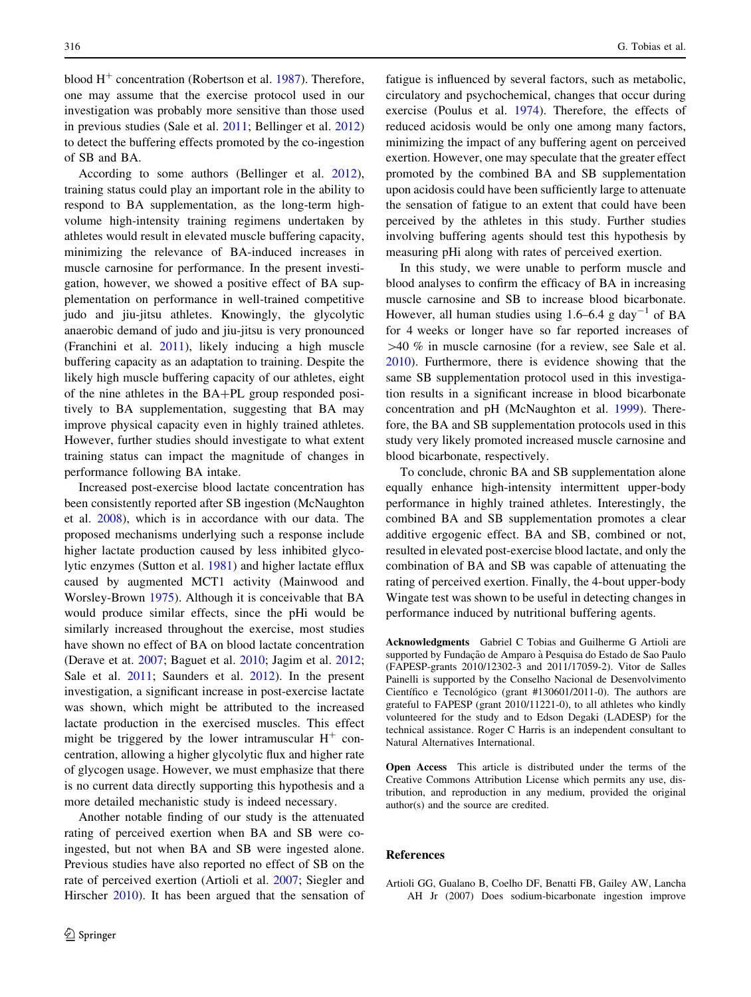<span id="page-7-0"></span>blood  $H^+$  concentration (Robertson et al. [1987\)](#page-8-0). Therefore, one may assume that the exercise protocol used in our investigation was probably more sensitive than those used in previous studies (Sale et al. [2011;](#page-8-0) Bellinger et al. [2012\)](#page-8-0) to detect the buffering effects promoted by the co-ingestion of SB and BA.

According to some authors (Bellinger et al. [2012](#page-8-0)), training status could play an important role in the ability to respond to BA supplementation, as the long-term highvolume high-intensity training regimens undertaken by athletes would result in elevated muscle buffering capacity, minimizing the relevance of BA-induced increases in muscle carnosine for performance. In the present investigation, however, we showed a positive effect of BA supplementation on performance in well-trained competitive judo and jiu-jitsu athletes. Knowingly, the glycolytic anaerobic demand of judo and jiu-jitsu is very pronounced (Franchini et al. [2011\)](#page-8-0), likely inducing a high muscle buffering capacity as an adaptation to training. Despite the likely high muscle buffering capacity of our athletes, eight of the nine athletes in the  $BA+PL$  group responded positively to BA supplementation, suggesting that BA may improve physical capacity even in highly trained athletes. However, further studies should investigate to what extent training status can impact the magnitude of changes in performance following BA intake.

Increased post-exercise blood lactate concentration has been consistently reported after SB ingestion (McNaughton et al. [2008](#page-8-0)), which is in accordance with our data. The proposed mechanisms underlying such a response include higher lactate production caused by less inhibited glycolytic enzymes (Sutton et al. [1981\)](#page-8-0) and higher lactate efflux caused by augmented MCT1 activity (Mainwood and Worsley-Brown [1975](#page-8-0)). Although it is conceivable that BA would produce similar effects, since the pHi would be similarly increased throughout the exercise, most studies have shown no effect of BA on blood lactate concentration (Derave et at. [2007;](#page-8-0) Baguet et al. [2010](#page-8-0); Jagim et al. [2012](#page-8-0); Sale et al. [2011;](#page-8-0) Saunders et al. [2012](#page-8-0)). In the present investigation, a significant increase in post-exercise lactate was shown, which might be attributed to the increased lactate production in the exercised muscles. This effect might be triggered by the lower intramuscular  $H^+$  concentration, allowing a higher glycolytic flux and higher rate of glycogen usage. However, we must emphasize that there is no current data directly supporting this hypothesis and a more detailed mechanistic study is indeed necessary.

Another notable finding of our study is the attenuated rating of perceived exertion when BA and SB were coingested, but not when BA and SB were ingested alone. Previous studies have also reported no effect of SB on the rate of perceived exertion (Artioli et al. 2007; Siegler and Hirscher [2010\)](#page-8-0). It has been argued that the sensation of fatigue is influenced by several factors, such as metabolic, circulatory and psychochemical, changes that occur during exercise (Poulus et al. [1974\)](#page-8-0). Therefore, the effects of reduced acidosis would be only one among many factors, minimizing the impact of any buffering agent on perceived exertion. However, one may speculate that the greater effect promoted by the combined BA and SB supplementation upon acidosis could have been sufficiently large to attenuate the sensation of fatigue to an extent that could have been perceived by the athletes in this study. Further studies involving buffering agents should test this hypothesis by measuring pHi along with rates of perceived exertion.

In this study, we were unable to perform muscle and blood analyses to confirm the efficacy of BA in increasing muscle carnosine and SB to increase blood bicarbonate. However, all human studies using  $1.6-6.4$  g day<sup>-1</sup> of BA for 4 weeks or longer have so far reported increases of  $>40$  % in muscle carnosine (for a review, see Sale et al. [2010](#page-8-0)). Furthermore, there is evidence showing that the same SB supplementation protocol used in this investigation results in a significant increase in blood bicarbonate concentration and pH (McNaughton et al. [1999](#page-8-0)). Therefore, the BA and SB supplementation protocols used in this study very likely promoted increased muscle carnosine and blood bicarbonate, respectively.

To conclude, chronic BA and SB supplementation alone equally enhance high-intensity intermittent upper-body performance in highly trained athletes. Interestingly, the combined BA and SB supplementation promotes a clear additive ergogenic effect. BA and SB, combined or not, resulted in elevated post-exercise blood lactate, and only the combination of BA and SB was capable of attenuating the rating of perceived exertion. Finally, the 4-bout upper-body Wingate test was shown to be useful in detecting changes in performance induced by nutritional buffering agents.

Acknowledgments Gabriel C Tobias and Guilherme G Artioli are supported by Fundação de Amparo à Pesquisa do Estado de Sao Paulo (FAPESP-grants 2010/12302-3 and 2011/17059-2). Vitor de Salles Painelli is supported by the Conselho Nacional de Desenvolvimento Científico e Tecnológico (grant #130601/2011-0). The authors are grateful to FAPESP (grant 2010/11221-0), to all athletes who kindly volunteered for the study and to Edson Degaki (LADESP) for the technical assistance. Roger C Harris is an independent consultant to Natural Alternatives International.

Open Access This article is distributed under the terms of the Creative Commons Attribution License which permits any use, distribution, and reproduction in any medium, provided the original author(s) and the source are credited.

#### References

Artioli GG, Gualano B, Coelho DF, Benatti FB, Gailey AW, Lancha AH Jr (2007) Does sodium-bicarbonate ingestion improve